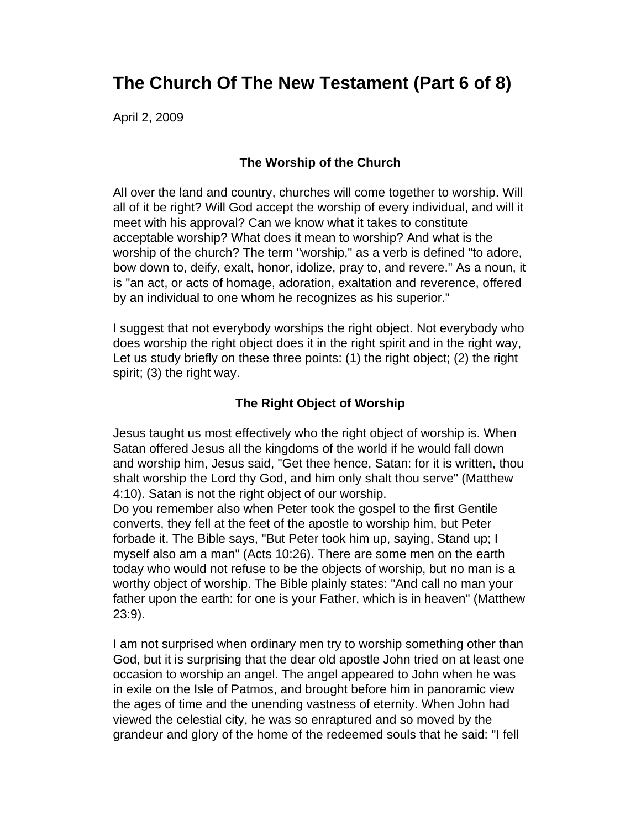# **The Church Of The New Testament (Part 6 of 8)**

April 2, 2009

## **The Worship of the Church**

All over the land and country, churches will come together to worship. Will all of it be right? Will God accept the worship of every individual, and will it meet with his approval? Can we know what it takes to constitute acceptable worship? What does it mean to worship? And what is the worship of the church? The term "worship," as a verb is defined "to adore, bow down to, deify, exalt, honor, idolize, pray to, and revere." As a noun, it is "an act, or acts of homage, adoration, exaltation and reverence, offered by an individual to one whom he recognizes as his superior."

I suggest that not everybody worships the right object. Not everybody who does worship the right object does it in the right spirit and in the right way, Let us study briefly on these three points: (1) the right object; (2) the right spirit; (3) the right way.

## **The Right Object of Worship**

Jesus taught us most effectively who the right object of worship is. When Satan offered Jesus all the kingdoms of the world if he would fall down and worship him, Jesus said, "Get thee hence, Satan: for it is written, thou shalt worship the Lord thy God, and him only shalt thou serve" (Matthew 4:10). Satan is not the right object of our worship.

Do you remember also when Peter took the gospel to the first Gentile converts, they fell at the feet of the apostle to worship him, but Peter forbade it. The Bible says, "But Peter took him up, saying, Stand up; I myself also am a man" (Acts 10:26). There are some men on the earth today who would not refuse to be the objects of worship, but no man is a worthy object of worship. The Bible plainly states: "And call no man your father upon the earth: for one is your Father, which is in heaven" (Matthew 23:9).

I am not surprised when ordinary men try to worship something other than God, but it is surprising that the dear old apostle John tried on at least one occasion to worship an angel. The angel appeared to John when he was in exile on the Isle of Patmos, and brought before him in panoramic view the ages of time and the unending vastness of eternity. When John had viewed the celestial city, he was so enraptured and so moved by the grandeur and glory of the home of the redeemed souls that he said: "I fell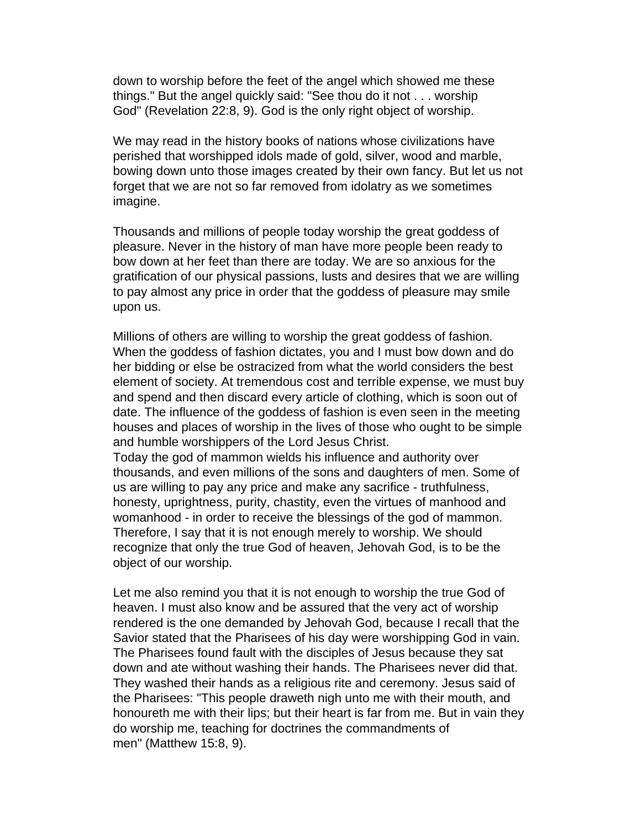down to worship before the feet of the angel which showed me these things." But the angel quickly said: "See thou do it not . . . worship God" (Revelation 22:8, 9). God is the only right object of worship.

We may read in the history books of nations whose civilizations have perished that worshipped idols made of gold, silver, wood and marble, bowing down unto those images created by their own fancy. But let us not forget that we are not so far removed from idolatry as we sometimes imagine.

Thousands and millions of people today worship the great goddess of pleasure. Never in the history of man have more people been ready to bow down at her feet than there are today. We are so anxious for the gratification of our physical passions, lusts and desires that we are willing to pay almost any price in order that the goddess of pleasure may smile upon us.

Millions of others are willing to worship the great goddess of fashion. When the goddess of fashion dictates, you and I must bow down and do her bidding or else be ostracized from what the world considers the best element of society. At tremendous cost and terrible expense, we must buy and spend and then discard every article of clothing, which is soon out of date. The influence of the goddess of fashion is even seen in the meeting houses and places of worship in the lives of those who ought to be simple and humble worshippers of the Lord Jesus Christ.

Today the god of mammon wields his influence and authority over thousands, and even millions of the sons and daughters of men. Some of us are willing to pay any price and make any sacrifice - truthfulness, honesty, uprightness, purity, chastity, even the virtues of manhood and womanhood - in order to receive the blessings of the god of mammon. Therefore, I say that it is not enough merely to worship. We should recognize that only the true God of heaven, Jehovah God, is to be the object of our worship.

Let me also remind you that it is not enough to worship the true God of heaven. I must also know and be assured that the very act of worship rendered is the one demanded by Jehovah God, because I recall that the Savior stated that the Pharisees of his day were worshipping God in vain. The Pharisees found fault with the disciples of Jesus because they sat down and ate without washing their hands. The Pharisees never did that. They washed their hands as a religious rite and ceremony. Jesus said of the Pharisees: "This people draweth nigh unto me with their mouth, and honoureth me with their lips; but their heart is far from me. But in vain they do worship me, teaching for doctrines the commandments of men" (Matthew 15:8, 9).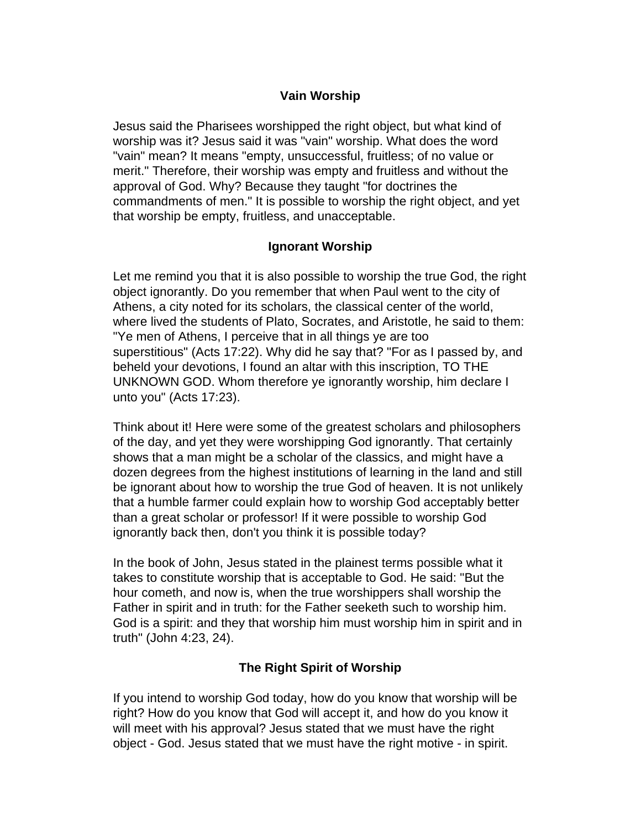## **Vain Worship**

Jesus said the Pharisees worshipped the right object, but what kind of worship was it? Jesus said it was "vain" worship. What does the word "vain" mean? It means "empty, unsuccessful, fruitless; of no value or merit." Therefore, their worship was empty and fruitless and without the approval of God. Why? Because they taught "for doctrines the commandments of men." It is possible to worship the right object, and yet that worship be empty, fruitless, and unacceptable.

## **Ignorant Worship**

Let me remind you that it is also possible to worship the true God, the right object ignorantly. Do you remember that when Paul went to the city of Athens, a city noted for its scholars, the classical center of the world, where lived the students of Plato, Socrates, and Aristotle, he said to them: "Ye men of Athens, I perceive that in all things ye are too superstitious" (Acts 17:22). Why did he say that? "For as I passed by, and beheld your devotions, I found an altar with this inscription, TO THE UNKNOWN GOD. Whom therefore ye ignorantly worship, him declare I unto you" (Acts 17:23).

Think about it! Here were some of the greatest scholars and philosophers of the day, and yet they were worshipping God ignorantly. That certainly shows that a man might be a scholar of the classics, and might have a dozen degrees from the highest institutions of learning in the land and still be ignorant about how to worship the true God of heaven. It is not unlikely that a humble farmer could explain how to worship God acceptably better than a great scholar or professor! If it were possible to worship God ignorantly back then, don't you think it is possible today?

In the book of John, Jesus stated in the plainest terms possible what it takes to constitute worship that is acceptable to God. He said: "But the hour cometh, and now is, when the true worshippers shall worship the Father in spirit and in truth: for the Father seeketh such to worship him. God is a spirit: and they that worship him must worship him in spirit and in truth" (John 4:23, 24).

# **The Right Spirit of Worship**

If you intend to worship God today, how do you know that worship will be right? How do you know that God will accept it, and how do you know it will meet with his approval? Jesus stated that we must have the right object - God. Jesus stated that we must have the right motive - in spirit.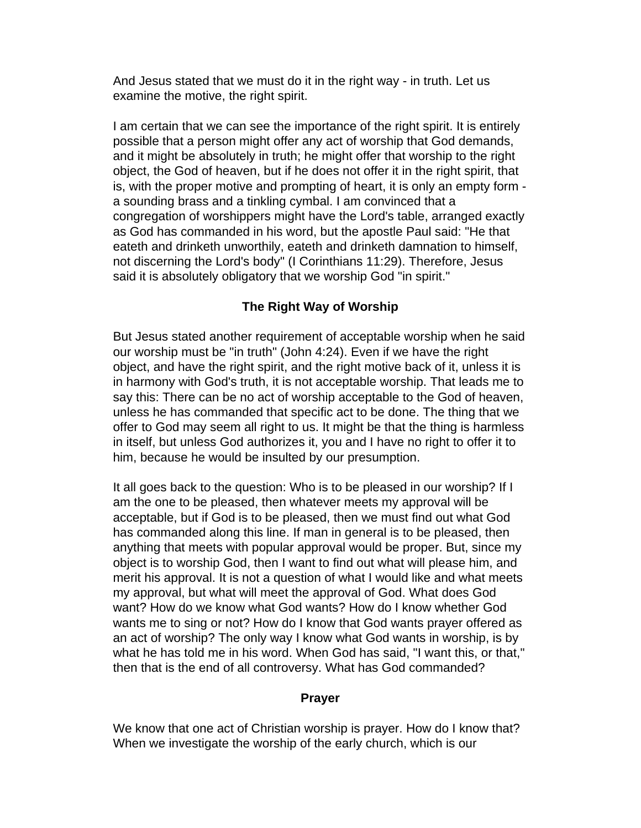And Jesus stated that we must do it in the right way - in truth. Let us examine the motive, the right spirit.

I am certain that we can see the importance of the right spirit. It is entirely possible that a person might offer any act of worship that God demands, and it might be absolutely in truth; he might offer that worship to the right object, the God of heaven, but if he does not offer it in the right spirit, that is, with the proper motive and prompting of heart, it is only an empty form a sounding brass and a tinkling cymbal. I am convinced that a congregation of worshippers might have the Lord's table, arranged exactly as God has commanded in his word, but the apostle Paul said: "He that eateth and drinketh unworthily, eateth and drinketh damnation to himself, not discerning the Lord's body" (I Corinthians 11:29). Therefore, Jesus said it is absolutely obligatory that we worship God "in spirit."

# **The Right Way of Worship**

But Jesus stated another requirement of acceptable worship when he said our worship must be "in truth" (John 4:24). Even if we have the right object, and have the right spirit, and the right motive back of it, unless it is in harmony with God's truth, it is not acceptable worship. That leads me to say this: There can be no act of worship acceptable to the God of heaven, unless he has commanded that specific act to be done. The thing that we offer to God may seem all right to us. It might be that the thing is harmless in itself, but unless God authorizes it, you and I have no right to offer it to him, because he would be insulted by our presumption.

It all goes back to the question: Who is to be pleased in our worship? If I am the one to be pleased, then whatever meets my approval will be acceptable, but if God is to be pleased, then we must find out what God has commanded along this line. If man in general is to be pleased, then anything that meets with popular approval would be proper. But, since my object is to worship God, then I want to find out what will please him, and merit his approval. It is not a question of what I would like and what meets my approval, but what will meet the approval of God. What does God want? How do we know what God wants? How do I know whether God wants me to sing or not? How do I know that God wants prayer offered as an act of worship? The only way I know what God wants in worship, is by what he has told me in his word. When God has said, "I want this, or that," then that is the end of all controversy. What has God commanded?

### **Prayer**

We know that one act of Christian worship is prayer. How do I know that? When we investigate the worship of the early church, which is our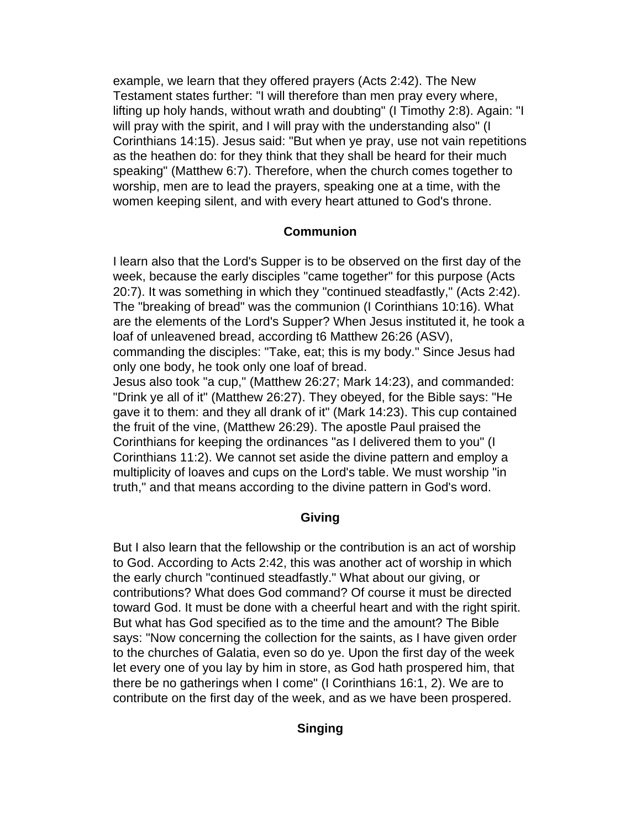example, we learn that they offered prayers (Acts 2:42). The New Testament states further: "I will therefore than men pray every where, lifting up holy hands, without wrath and doubting" (I Timothy 2:8). Again: "I will pray with the spirit, and I will pray with the understanding also" (I Corinthians 14:15). Jesus said: "But when ye pray, use not vain repetitions as the heathen do: for they think that they shall be heard for their much speaking" (Matthew 6:7). Therefore, when the church comes together to worship, men are to lead the prayers, speaking one at a time, with the women keeping silent, and with every heart attuned to God's throne.

### **Communion**

I learn also that the Lord's Supper is to be observed on the first day of the week, because the early disciples "came together" for this purpose (Acts 20:7). It was something in which they "continued steadfastly," (Acts 2:42). The "breaking of bread" was the communion (I Corinthians 10:16). What are the elements of the Lord's Supper? When Jesus instituted it, he took a loaf of unleavened bread, according t6 Matthew 26:26 (ASV),

commanding the disciples: "Take, eat; this is my body." Since Jesus had only one body, he took only one loaf of bread.

Jesus also took "a cup," (Matthew 26:27; Mark 14:23), and commanded: "Drink ye all of it" (Matthew 26:27). They obeyed, for the Bible says: "He gave it to them: and they all drank of it" (Mark 14:23). This cup contained the fruit of the vine, (Matthew 26:29). The apostle Paul praised the Corinthians for keeping the ordinances "as I delivered them to you" (I Corinthians 11:2). We cannot set aside the divine pattern and employ a multiplicity of loaves and cups on the Lord's table. We must worship "in truth," and that means according to the divine pattern in God's word.

### **Giving**

But I also learn that the fellowship or the contribution is an act of worship to God. According to Acts 2:42, this was another act of worship in which the early church "continued steadfastly." What about our giving, or contributions? What does God command? Of course it must be directed toward God. It must be done with a cheerful heart and with the right spirit. But what has God specified as to the time and the amount? The Bible says: "Now concerning the collection for the saints, as I have given order to the churches of Galatia, even so do ye. Upon the first day of the week let every one of you lay by him in store, as God hath prospered him, that there be no gatherings when I come" (I Corinthians 16:1, 2). We are to contribute on the first day of the week, and as we have been prospered.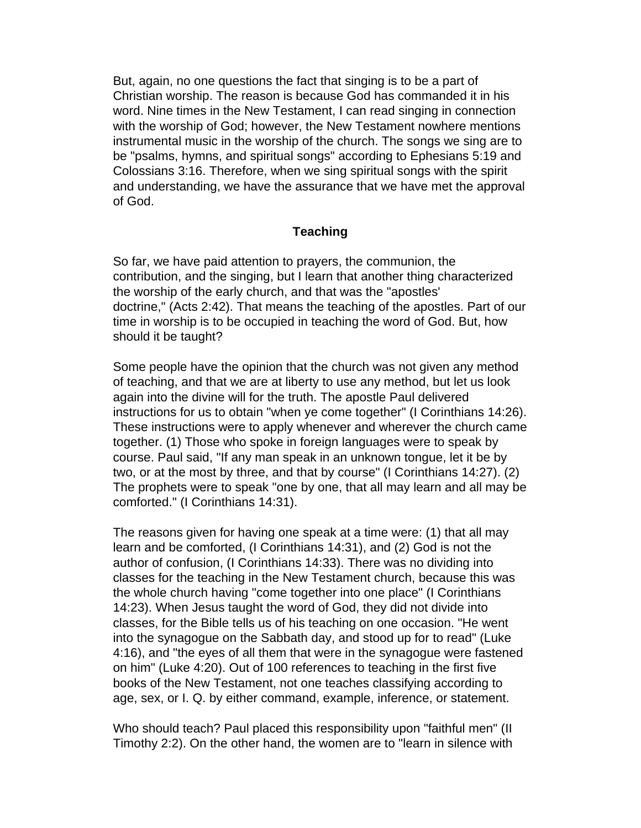But, again, no one questions the fact that singing is to be a part of Christian worship. The reason is because God has commanded it in his word. Nine times in the New Testament, I can read singing in connection with the worship of God; however, the New Testament nowhere mentions instrumental music in the worship of the church. The songs we sing are to be "psalms, hymns, and spiritual songs" according to Ephesians 5:19 and Colossians 3:16. Therefore, when we sing spiritual songs with the spirit and understanding, we have the assurance that we have met the approval of God.

### **Teaching**

So far, we have paid attention to prayers, the communion, the contribution, and the singing, but I learn that another thing characterized the worship of the early church, and that was the "apostles' doctrine," (Acts 2:42). That means the teaching of the apostles. Part of our time in worship is to be occupied in teaching the word of God. But, how should it be taught?

Some people have the opinion that the church was not given any method of teaching, and that we are at liberty to use any method, but let us look again into the divine will for the truth. The apostle Paul delivered instructions for us to obtain "when ye come together" (I Corinthians 14:26). These instructions were to apply whenever and wherever the church came together. (1) Those who spoke in foreign languages were to speak by course. Paul said, "If any man speak in an unknown tongue, let it be by two, or at the most by three, and that by course" (I Corinthians 14:27). (2) The prophets were to speak "one by one, that all may learn and all may be comforted." (I Corinthians 14:31).

The reasons given for having one speak at a time were: (1) that all may learn and be comforted, (I Corinthians 14:31), and (2) God is not the author of confusion, (I Corinthians 14:33). There was no dividing into classes for the teaching in the New Testament church, because this was the whole church having "come together into one place" (I Corinthians 14:23). When Jesus taught the word of God, they did not divide into classes, for the Bible tells us of his teaching on one occasion. "He went into the synagogue on the Sabbath day, and stood up for to read" (Luke 4:16), and "the eyes of all them that were in the synagogue were fastened on him" (Luke 4:20). Out of 100 references to teaching in the first five books of the New Testament, not one teaches classifying according to age, sex, or I. Q. by either command, example, inference, or statement.

Who should teach? Paul placed this responsibility upon "faithful men" (II Timothy 2:2). On the other hand, the women are to "learn in silence with